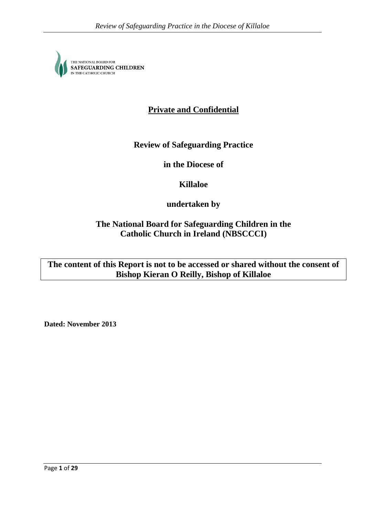THE NATIONAL BOARD FOR<br>**SAFEGUARDING CHILDREN**<br>IN THE CATHOLIC CHURCH

# **Private and Confidential**

# **Review of Safeguarding Practice**

**in the Diocese of**

**Killaloe**

**undertaken by**

**The National Board for Safeguarding Children in the Catholic Church in Ireland (NBSCCCI)**

**The content of this Report is not to be accessed or shared without the consent of Bishop Kieran O Reilly, Bishop of Killaloe** 

**Dated: November 2013**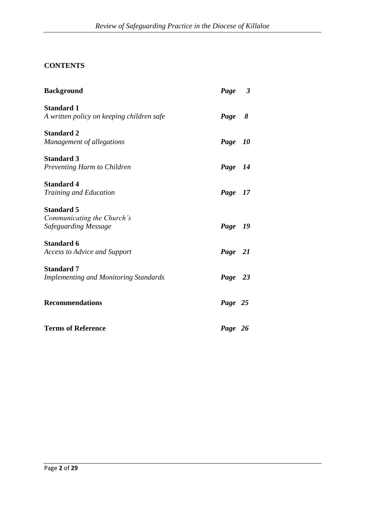# **CONTENTS**

| <b>Background</b>                                                       | Page 3    |
|-------------------------------------------------------------------------|-----------|
| <b>Standard 1</b><br>A written policy on keeping children safe          | Page<br>8 |
| <b>Standard 2</b><br>Management of allegations                          | Page 10   |
| <b>Standard 3</b><br>Preventing Harm to Children                        | Page 14   |
| <b>Standard 4</b><br><b>Training and Education</b>                      | Page 17   |
| <b>Standard 5</b><br>Communicating the Church's<br>Safeguarding Message | Page 19   |
| <b>Standard 6</b><br><b>Access to Advice and Support</b>                | Page 21   |
| <b>Standard 7</b><br><b>Implementing and Monitoring Standards</b>       | Page 23   |
| <b>Recommendations</b>                                                  | Page 25   |
| <b>Terms of Reference</b>                                               | Page 26   |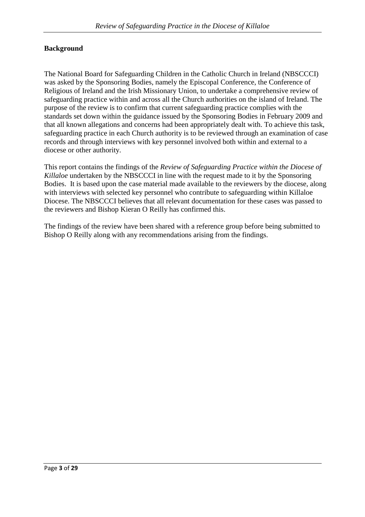# **Background**

The National Board for Safeguarding Children in the Catholic Church in Ireland (NBSCCCI) was asked by the Sponsoring Bodies, namely the Episcopal Conference, the Conference of Religious of Ireland and the Irish Missionary Union, to undertake a comprehensive review of safeguarding practice within and across all the Church authorities on the island of Ireland. The purpose of the review is to confirm that current safeguarding practice complies with the standards set down within the guidance issued by the Sponsoring Bodies in February 2009 and that all known allegations and concerns had been appropriately dealt with. To achieve this task, safeguarding practice in each Church authority is to be reviewed through an examination of case records and through interviews with key personnel involved both within and external to a diocese or other authority.

This report contains the findings of the *Review of Safeguarding Practice within the Diocese of Killaloe* undertaken by the NBSCCCI in line with the request made to it by the Sponsoring Bodies. It is based upon the case material made available to the reviewers by the diocese, along with interviews with selected key personnel who contribute to safeguarding within Killaloe Diocese. The NBSCCCI believes that all relevant documentation for these cases was passed to the reviewers and Bishop Kieran O Reilly has confirmed this.

The findings of the review have been shared with a reference group before being submitted to Bishop O Reilly along with any recommendations arising from the findings.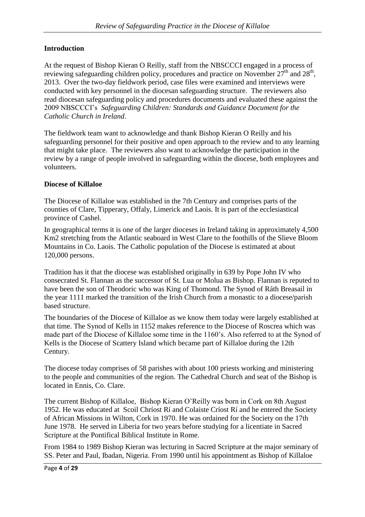# **Introduction**

At the request of Bishop Kieran O Reilly, staff from the NBSCCCI engaged in a process of reviewing safeguarding children policy, procedures and practice on November  $27^{\text{th}}$  and  $28^{\text{th}}$ , 2013. Over the two-day fieldwork period, case files were examined and interviews were conducted with key personnel in the diocesan safeguarding structure. The reviewers also read diocesan safeguarding policy and procedures documents and evaluated these against the 2009 NBSCCCI's *Safeguarding Children: Standards and Guidance Document for the Catholic Church in Ireland*.

The fieldwork team want to acknowledge and thank Bishop Kieran O Reilly and his safeguarding personnel for their positive and open approach to the review and to any learning that might take place. The reviewers also want to acknowledge the participation in the review by a range of people involved in safeguarding within the diocese, both employees and volunteers.

# **Diocese of Killaloe**

The Diocese of Killaloe was established in the 7th Century and comprises parts of the counties of Clare, Tipperary, Offaly, Limerick and Laois. It is part of the ecclesiastical province of Cashel.

In geographical terms it is one of the larger dioceses in Ireland taking in approximately 4,500 Km2 stretching from the Atlantic seaboard in West Clare to the foothills of the Slieve Bloom Mountains in Co. Laois. The Catholic population of the Diocese is estimated at about 120,000 persons.

Tradition has it that the diocese was established originally in 639 by Pope John IV who consecrated St. Flannan as the successor of St. Lua or Molua as Bishop. Flannan is reputed to have been the son of Theodoric who was King of Thomond. The Synod of Ráth Breasail in the year 1111 marked the transition of the Irish Church from a monastic to a diocese/parish based structure.

The boundaries of the Diocese of Killaloe as we know them today were largely established at that time. The Synod of Kells in 1152 makes reference to the Diocese of Roscrea which was made part of the Diocese of Killaloe some time in the 1160's. Also referred to at the Synod of Kells is the Diocese of Scattery Island which became part of Killaloe during the 12th Century.

The diocese today comprises of 58 parishes with about 100 priests working and ministering to the people and communities of the region. The Cathedral Church and seat of the Bishop is located in Ennis, Co. Clare.

The current Bishop of Killaloe, Bishop Kieran O'Reilly was born in Cork on 8th August 1952. He was educated at Scoil Chríost Rí and Colaiste Críost Rí and he entered the Society of African Missions in Wilton, Cork in 1970. He was ordained for the Society on the 17th June 1978. He served in Liberia for two years before studying for a licentiate in Sacred Scripture at the Pontifical Biblical Institute in Rome.

From 1984 to 1989 Bishop Kieran was lecturing in Sacred Scripture at the major seminary of SS. Peter and Paul, Ibadan, Nigeria. From 1990 until his appointment as Bishop of Killaloe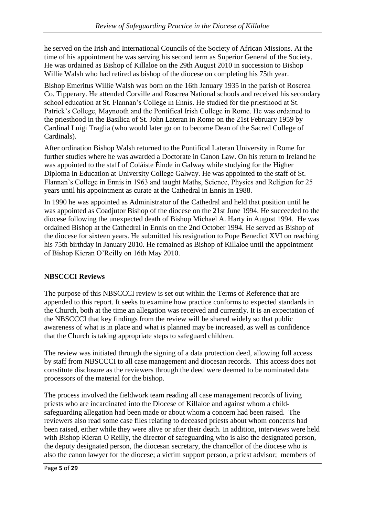he served on the Irish and International Councils of the Society of African Missions. At the time of his appointment he was serving his second term as Superior General of the Society. He was ordained as Bishop of Killaloe on the 29th August 2010 in succession to Bishop Willie Walsh who had retired as bishop of the diocese on completing his 75th year.

Bishop Emeritus Willie Walsh was born on the 16th January 1935 in the parish of Roscrea Co. Tipperary. He attended Corville and Roscrea National schools and received his secondary school education at St. Flannan's College in Ennis. He studied for the priesthood at St. Patrick's College, Maynooth and the Pontifical Irish College in Rome. He was ordained to the priesthood in the Basilica of St. John Lateran in Rome on the 21st February 1959 by Cardinal Luigi Traglia (who would later go on to become Dean of the Sacred College of Cardinals).

After ordination Bishop Walsh returned to the Pontifical Lateran University in Rome for further studies where he was awarded a Doctorate in Canon Law. On his return to Ireland he was appointed to the staff of Coláiste Éinde in Galway while studying for the Higher Diploma in Education at University College Galway. He was appointed to the staff of St. Flannan's College in Ennis in 1963 and taught Maths, Science, Physics and Religion for 25 years until his appointment as curate at the Cathedral in Ennis in 1988.

In 1990 he was appointed as Administrator of the Cathedral and held that position until he was appointed as Coadjutor Bishop of the diocese on the 21st June 1994. He succeeded to the diocese following the unexpected death of Bishop Michael A. Harty in August 1994. He was ordained Bishop at the Cathedral in Ennis on the 2nd October 1994. He served as Bishop of the diocese for sixteen years. He submitted his resignation to Pope Benedict XVI on reaching his 75th birthday in January 2010. He remained as Bishop of Killaloe until the appointment of Bishop Kieran O'Reilly on 16th May 2010.

# **NBSCCCI Reviews**

The purpose of this NBSCCCI review is set out within the Terms of Reference that are appended to this report. It seeks to examine how practice conforms to expected standards in the Church, both at the time an allegation was received and currently. It is an expectation of the NBSCCCI that key findings from the review will be shared widely so that public awareness of what is in place and what is planned may be increased, as well as confidence that the Church is taking appropriate steps to safeguard children.

The review was initiated through the signing of a data protection deed, allowing full access by staff from NBSCCCI to all case management and diocesan records. This access does not constitute disclosure as the reviewers through the deed were deemed to be nominated data processors of the material for the bishop.

The process involved the fieldwork team reading all case management records of living priests who are incardinated into the Diocese of Killaloe and against whom a childsafeguarding allegation had been made or about whom a concern had been raised. The reviewers also read some case files relating to deceased priests about whom concerns had been raised, either while they were alive or after their death. In addition, interviews were held with Bishop Kieran O Reilly, the director of safeguarding who is also the designated person, the deputy designated person, the diocesan secretary, the chancellor of the diocese who is also the canon lawyer for the diocese; a victim support person, a priest advisor; members of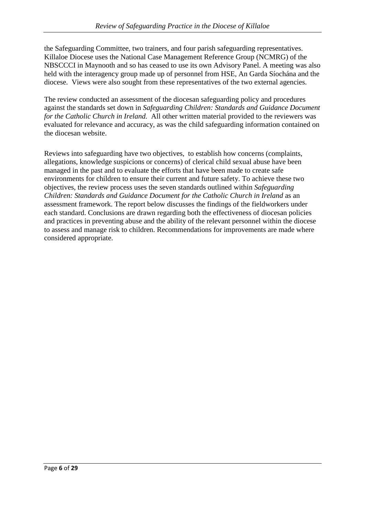the Safeguarding Committee, two trainers, and four parish safeguarding representatives. Killaloe Diocese uses the National Case Management Reference Group (NCMRG) of the NBSCCCI in Maynooth and so has ceased to use its own Advisory Panel. A meeting was also held with the interagency group made up of personnel from HSE, An Garda Síochána and the diocese. Views were also sought from these representatives of the two external agencies.

The review conducted an assessment of the diocesan safeguarding policy and procedures against the standards set down in *Safeguarding Children: Standards and Guidance Document for the Catholic Church in Ireland.* All other written material provided to the reviewers was evaluated for relevance and accuracy, as was the child safeguarding information contained on the diocesan website.

Reviews into safeguarding have two objectives, to establish how concerns (complaints, allegations, knowledge suspicions or concerns) of clerical child sexual abuse have been managed in the past and to evaluate the efforts that have been made to create safe environments for children to ensure their current and future safety. To achieve these two objectives, the review process uses the seven standards outlined within *Safeguarding Children: Standards and Guidance Document for the Catholic Church in Ireland* as an assessment framework. The report below discusses the findings of the fieldworkers under each standard. Conclusions are drawn regarding both the effectiveness of diocesan policies and practices in preventing abuse and the ability of the relevant personnel within the diocese to assess and manage risk to children. Recommendations for improvements are made where considered appropriate.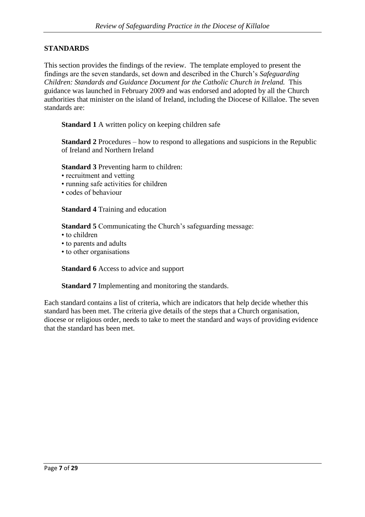## **STANDARDS**

This section provides the findings of the review. The template employed to present the findings are the seven standards, set down and described in the Church's *Safeguarding Children: Standards and Guidance Document for the Catholic Church in Ireland.* This guidance was launched in February 2009 and was endorsed and adopted by all the Church authorities that minister on the island of Ireland, including the Diocese of Killaloe. The seven standards are:

**Standard 1** A written policy on keeping children safe

**Standard 2** Procedures – how to respond to allegations and suspicions in the Republic of Ireland and Northern Ireland

**Standard 3** Preventing harm to children:

- recruitment and vetting
- running safe activities for children
- codes of behaviour

**Standard 4** Training and education

**Standard 5** Communicating the Church's safeguarding message:

- to children
- to parents and adults
- to other organisations

**Standard 6** Access to advice and support

**Standard 7** Implementing and monitoring the standards.

Each standard contains a list of criteria, which are indicators that help decide whether this standard has been met. The criteria give details of the steps that a Church organisation, diocese or religious order, needs to take to meet the standard and ways of providing evidence that the standard has been met.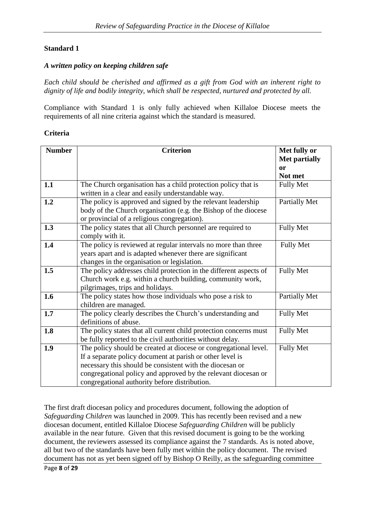#### *A written policy on keeping children safe*

*Each child should be cherished and affirmed as a gift from God with an inherent right to dignity of life and bodily integrity, which shall be respected, nurtured and protected by all.*

Compliance with Standard 1 is only fully achieved when Killaloe Diocese meets the requirements of all nine criteria against which the standard is measured.

#### **Criteria**

| <b>Number</b> | <b>Criterion</b>                                                  | Met fully or<br><b>Met partially</b> |
|---------------|-------------------------------------------------------------------|--------------------------------------|
|               |                                                                   | or                                   |
|               |                                                                   | Not met                              |
| 1.1           | The Church organisation has a child protection policy that is     | <b>Fully Met</b>                     |
|               | written in a clear and easily understandable way.                 |                                      |
| 1.2           | The policy is approved and signed by the relevant leadership      | <b>Partially Met</b>                 |
|               | body of the Church organisation (e.g. the Bishop of the diocese   |                                      |
|               | or provincial of a religious congregation).                       |                                      |
| 1.3           | The policy states that all Church personnel are required to       | <b>Fully Met</b>                     |
|               | comply with it.                                                   |                                      |
| 1.4           | The policy is reviewed at regular intervals no more than three    | <b>Fully Met</b>                     |
|               | years apart and is adapted whenever there are significant         |                                      |
|               | changes in the organisation or legislation.                       |                                      |
| 1.5           | The policy addresses child protection in the different aspects of | <b>Fully Met</b>                     |
|               | Church work e.g. within a church building, community work,        |                                      |
|               | pilgrimages, trips and holidays.                                  |                                      |
| 1.6           | The policy states how those individuals who pose a risk to        | Partially Met                        |
|               | children are managed.                                             |                                      |
| 1.7           | The policy clearly describes the Church's understanding and       | <b>Fully Met</b>                     |
|               | definitions of abuse.                                             |                                      |
| 1.8           | The policy states that all current child protection concerns must | <b>Fully Met</b>                     |
|               | be fully reported to the civil authorities without delay.         |                                      |
| 1.9           | The policy should be created at diocese or congregational level.  | <b>Fully Met</b>                     |
|               | If a separate policy document at parish or other level is         |                                      |
|               | necessary this should be consistent with the diocesan or          |                                      |
|               | congregational policy and approved by the relevant diocesan or    |                                      |
|               | congregational authority before distribution.                     |                                      |

The first draft diocesan policy and procedures document, following the adoption of *Safeguarding Children* was launched in 2009. This has recently been revised and a new diocesan document, entitled Killaloe Diocese *Safeguarding Children* will be publicly available in the near future. Given that this revised document is going to be the working document, the reviewers assessed its compliance against the 7 standards. As is noted above, all but two of the standards have been fully met within the policy document. The revised document has not as yet been signed off by Bishop O Reilly, as the safeguarding committee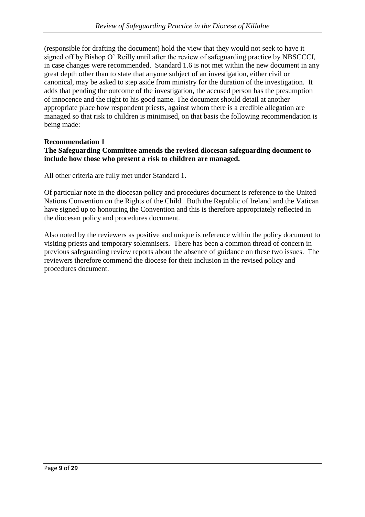(responsible for drafting the document) hold the view that they would not seek to have it signed off by Bishop O' Reilly until after the review of safeguarding practice by NBSCCCI, in case changes were recommended. Standard 1.6 is not met within the new document in any great depth other than to state that anyone subject of an investigation, either civil or canonical, may be asked to step aside from ministry for the duration of the investigation. It adds that pending the outcome of the investigation, the accused person has the presumption of innocence and the right to his good name. The document should detail at another appropriate place how respondent priests, against whom there is a credible allegation are managed so that risk to children is minimised, on that basis the following recommendation is being made:

#### **Recommendation 1 The Safeguarding Committee amends the revised diocesan safeguarding document to include how those who present a risk to children are managed.**

All other criteria are fully met under Standard 1.

Of particular note in the diocesan policy and procedures document is reference to the United Nations Convention on the Rights of the Child. Both the Republic of Ireland and the Vatican have signed up to honouring the Convention and this is therefore appropriately reflected in the diocesan policy and procedures document.

Also noted by the reviewers as positive and unique is reference within the policy document to visiting priests and temporary solemnisers. There has been a common thread of concern in previous safeguarding review reports about the absence of guidance on these two issues. The reviewers therefore commend the diocese for their inclusion in the revised policy and procedures document.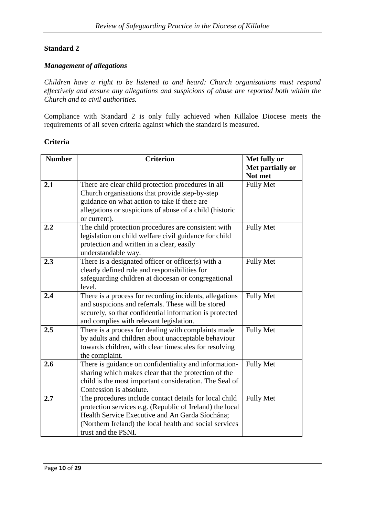#### *Management of allegations*

*Children have a right to be listened to and heard: Church organisations must respond effectively and ensure any allegations and suspicions of abuse are reported both within the Church and to civil authorities.*

Compliance with Standard 2 is only fully achieved when Killaloe Diocese meets the requirements of all seven criteria against which the standard is measured.

#### **Criteria**

| <b>Number</b> | <b>Criterion</b>                                         | Met fully or     |
|---------------|----------------------------------------------------------|------------------|
|               |                                                          | Met partially or |
|               |                                                          | Not met          |
| 2.1           | There are clear child protection procedures in all       | <b>Fully Met</b> |
|               | Church organisations that provide step-by-step           |                  |
|               | guidance on what action to take if there are             |                  |
|               | allegations or suspicions of abuse of a child (historic  |                  |
|               | or current).                                             |                  |
| 2.2           | The child protection procedures are consistent with      | <b>Fully Met</b> |
|               | legislation on child welfare civil guidance for child    |                  |
|               | protection and written in a clear, easily                |                  |
|               | understandable way.                                      |                  |
| 2.3           | There is a designated officer or officer(s) with a       | <b>Fully Met</b> |
|               | clearly defined role and responsibilities for            |                  |
|               | safeguarding children at diocesan or congregational      |                  |
|               | level.                                                   |                  |
| 2.4           | There is a process for recording incidents, allegations  | <b>Fully Met</b> |
|               | and suspicions and referrals. These will be stored       |                  |
|               | securely, so that confidential information is protected  |                  |
|               | and complies with relevant legislation.                  |                  |
| 2.5           | There is a process for dealing with complaints made      | <b>Fully Met</b> |
|               | by adults and children about unacceptable behaviour      |                  |
|               | towards children, with clear timescales for resolving    |                  |
|               | the complaint.                                           |                  |
| 2.6           | There is guidance on confidentiality and information-    | <b>Fully Met</b> |
|               | sharing which makes clear that the protection of the     |                  |
|               | child is the most important consideration. The Seal of   |                  |
|               | Confession is absolute.                                  |                  |
| 2.7           | The procedures include contact details for local child   | <b>Fully Met</b> |
|               | protection services e.g. (Republic of Ireland) the local |                  |
|               | Health Service Executive and An Garda Síochána;          |                  |
|               | (Northern Ireland) the local health and social services  |                  |
|               | trust and the PSNI.                                      |                  |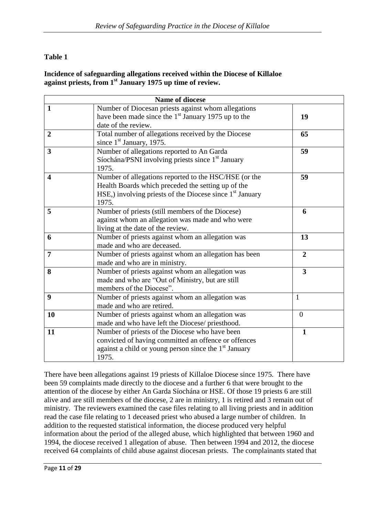# **Table 1**

## **Incidence of safeguarding allegations received within the Diocese of Killaloe against priests, from 1st January 1975 up time of review.**

|                         | <b>Name of diocese</b>                                                                                                                                                             |                         |
|-------------------------|------------------------------------------------------------------------------------------------------------------------------------------------------------------------------------|-------------------------|
| $\mathbf{1}$            | Number of Diocesan priests against whom allegations<br>have been made since the $1st$ January 1975 up to the<br>date of the review.                                                | 19                      |
| $\overline{2}$          | Total number of allegations received by the Diocese<br>since $1st$ January, 1975.                                                                                                  | 65                      |
| $\overline{\mathbf{3}}$ | Number of allegations reported to An Garda<br>Síochána/PSNI involving priests since 1 <sup>st</sup> January<br>1975.                                                               | 59                      |
| $\overline{\mathbf{4}}$ | Number of allegations reported to the HSC/HSE (or the<br>Health Boards which preceded the setting up of the<br>HSE,) involving priests of the Diocese since $1st$ January<br>1975. | 59                      |
| 5                       | Number of priests (still members of the Diocese)<br>against whom an allegation was made and who were<br>living at the date of the review.                                          | 6                       |
| 6                       | Number of priests against whom an allegation was<br>made and who are deceased.                                                                                                     | 13                      |
| $\overline{7}$          | Number of priests against whom an allegation has been<br>made and who are in ministry.                                                                                             | $\overline{2}$          |
| 8                       | Number of priests against whom an allegation was<br>made and who are "Out of Ministry, but are still<br>members of the Diocese".                                                   | $\overline{\mathbf{3}}$ |
| 9                       | Number of priests against whom an allegation was<br>made and who are retired.                                                                                                      | $\mathbf{1}$            |
| 10                      | Number of priests against whom an allegation was<br>made and who have left the Diocese/ priesthood.                                                                                | $\boldsymbol{0}$        |
| 11                      | Number of priests of the Diocese who have been<br>convicted of having committed an offence or offences<br>against a child or young person since the $1st$ January<br>1975.         | $\mathbf{1}$            |

There have been allegations against 19 priests of Killaloe Diocese since 1975. There have been 59 complaints made directly to the diocese and a further 6 that were brought to the attention of the diocese by either An Garda Síochána or HSE. Of those 19 priests 6 are still alive and are still members of the diocese, 2 are in ministry, 1 is retired and 3 remain out of ministry. The reviewers examined the case files relating to all living priests and in addition read the case file relating to 1 deceased priest who abused a large number of children. In addition to the requested statistical information, the diocese produced very helpful information about the period of the alleged abuse, which highlighted that between 1960 and 1994, the diocese received 1 allegation of abuse. Then between 1994 and 2012, the diocese received 64 complaints of child abuse against diocesan priests. The complainants stated that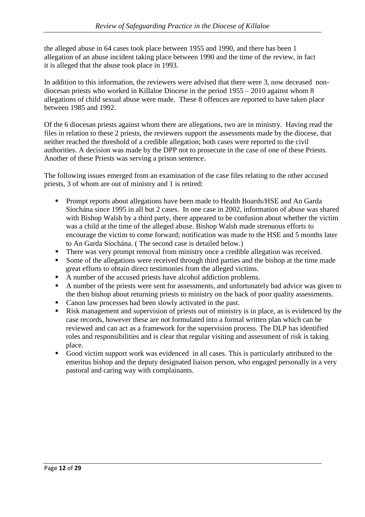the alleged abuse in 64 cases took place between 1955 and 1990, and there has been 1 allegation of an abuse incident taking place between 1990 and the time of the review, in fact it is alleged that the abuse took place in 1993.

In addition to this information, the reviewers were advised that there were 3, now deceased nondiocesan priests who worked in Killaloe Diocese in the period 1955 – 2010 against whom 8 allegations of child sexual abuse were made. These 8 offences are reported to have taken place between 1985 and 1992.

Of the 6 diocesan priests against whom there are allegations, two are in ministry. Having read the files in relation to these 2 priests, the reviewers support the assessments made by the diocese, that neither reached the threshold of a credible allegation; both cases were reported to the civil authorities. A decision was made by the DPP not to prosecute in the case of one of these Priests. Another of these Priests was serving a prison sentence.

The following issues emerged from an examination of the case files relating to the other accused priests, 3 of whom are out of ministry and 1 is retired:

- **Prompt reports about allegations have been made to Health Boards/HSE and An Garda** Síochána since 1995 in all but 2 cases. In one case in 2002, information of abuse was shared with Bishop Walsh by a third party, there appeared to be confusion about whether the victim was a child at the time of the alleged abuse. Bishop Walsh made strenuous efforts to encourage the victim to come forward; notification was made to the HSE and 5 months later to An Garda Síochána. ( The second case is detailed below.)
- There was very prompt removal from ministry once a credible allegation was received.
- Some of the allegations were received through third parties and the bishop at the time made great efforts to obtain direct testimonies from the alleged victims.
- A number of the accused priests have alcohol addiction problems.
- A number of the priests were sent for assessments, and unfortunately bad advice was given to the then bishop about returning priests to ministry on the back of poor quality assessments.
- Canon law processes had been slowly activated in the past.
- Risk management and supervision of priests out of ministry is in place, as is evidenced by the case records, however these are not formulated into a formal written plan which can be reviewed and can act as a framework for the supervision process. The DLP has identified roles and responsibilities and is clear that regular visiting and assessment of risk is taking place.
- Good victim support work was evidenced in all cases. This is particularly attributed to the emeritus bishop and the deputy designated liaison person, who engaged personally in a very pastoral and caring way with complainants.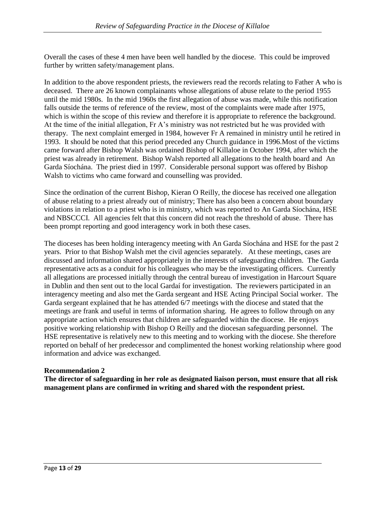Overall the cases of these 4 men have been well handled by the diocese. This could be improved further by written safety/management plans.

In addition to the above respondent priests, the reviewers read the records relating to Father A who is deceased. There are 26 known complainants whose allegations of abuse relate to the period 1955 until the mid 1980s. In the mid 1960s the first allegation of abuse was made, while this notification falls outside the terms of reference of the review, most of the complaints were made after 1975, which is within the scope of this review and therefore it is appropriate to reference the background. At the time of the initial allegation, Fr A's ministry was not restricted but he was provided with therapy. The next complaint emerged in 1984, however Fr A remained in ministry until he retired in 1993. It should be noted that this period preceded any Church guidance in 1996.Most of the victims came forward after Bishop Walsh was ordained Bishop of Killaloe in October 1994, after which the priest was already in retirement. Bishop Walsh reported all allegations to the health board and An Garda Síochána. The priest died in 1997. Considerable personal support was offered by Bishop Walsh to victims who came forward and counselling was provided.

Since the ordination of the current Bishop, Kieran O Reilly, the diocese has received one allegation of abuse relating to a priest already out of ministry; There has also been a concern about boundary violations in relation to a priest who is in ministry, which was reported to An Garda Síochána, HSE and NBSCCCI. All agencies felt that this concern did not reach the threshold of abuse. There has been prompt reporting and good interagency work in both these cases.

The dioceses has been holding interagency meeting with An Garda Síochána and HSE for the past 2 years. Prior to that Bishop Walsh met the civil agencies separately. At these meetings, cases are discussed and information shared appropriately in the interests of safeguarding children. The Garda representative acts as a conduit for his colleagues who may be the investigating officers. Currently all allegations are processed initially through the central bureau of investigation in Harcourt Square in Dublin and then sent out to the local Gardaí for investigation. The reviewers participated in an interagency meeting and also met the Garda sergeant and HSE Acting Principal Social worker. The Garda sergeant explained that he has attended 6/7 meetings with the diocese and stated that the meetings are frank and useful in terms of information sharing. He agrees to follow through on any appropriate action which ensures that children are safeguarded within the diocese. He enjoys positive working relationship with Bishop O Reilly and the diocesan safeguarding personnel. The HSE representative is relatively new to this meeting and to working with the diocese. She therefore reported on behalf of her predecessor and complimented the honest working relationship where good information and advice was exchanged.

## **Recommendation 2**

**The director of safeguarding in her role as designated liaison person, must ensure that all risk management plans are confirmed in writing and shared with the respondent priest.**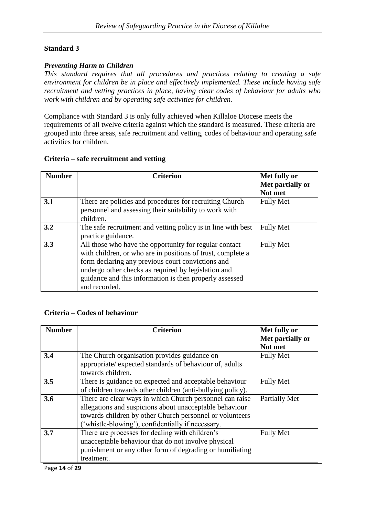#### *Preventing Harm to Children*

*This standard requires that all procedures and practices relating to creating a safe environment for children be in place and effectively implemented. These include having safe recruitment and vetting practices in place, having clear codes of behaviour for adults who work with children and by operating safe activities for children.*

Compliance with Standard 3 is only fully achieved when Killaloe Diocese meets the requirements of all twelve criteria against which the standard is measured. These criteria are grouped into three areas, safe recruitment and vetting, codes of behaviour and operating safe activities for children.

#### **Criteria – safe recruitment and vetting**

| <b>Number</b> | <b>Criterion</b>                                             | Met fully or     |
|---------------|--------------------------------------------------------------|------------------|
|               |                                                              | Met partially or |
|               |                                                              | Not met          |
| 3.1           | There are policies and procedures for recruiting Church      | <b>Fully Met</b> |
|               | personnel and assessing their suitability to work with       |                  |
|               | children.                                                    |                  |
| 3.2           | The safe recruitment and vetting policy is in line with best | <b>Fully Met</b> |
|               | practice guidance.                                           |                  |
| 3.3           | All those who have the opportunity for regular contact       | <b>Fully Met</b> |
|               | with children, or who are in positions of trust, complete a  |                  |
|               | form declaring any previous court convictions and            |                  |
|               | undergo other checks as required by legislation and          |                  |
|               | guidance and this information is then properly assessed      |                  |
|               | and recorded.                                                |                  |

## **Criteria – Codes of behaviour**

| <b>Number</b> | <b>Criterion</b>                                                                                        | Met fully or<br>Met partially or |
|---------------|---------------------------------------------------------------------------------------------------------|----------------------------------|
|               |                                                                                                         | Not met                          |
| 3.4           | The Church organisation provides guidance on<br>appropriate/ expected standards of behaviour of, adults | <b>Fully Met</b>                 |
|               | towards children.                                                                                       |                                  |
| 3.5           | There is guidance on expected and acceptable behaviour                                                  | <b>Fully Met</b>                 |
|               | of children towards other children (anti-bullying policy).                                              |                                  |
| 3.6           | There are clear ways in which Church personnel can raise                                                | Partially Met                    |
|               | allegations and suspicions about unacceptable behaviour                                                 |                                  |
|               | towards children by other Church personnel or volunteers                                                |                                  |
|               | "whistle-blowing", confidentially if necessary.                                                         |                                  |
| 3.7           | There are processes for dealing with children's                                                         | <b>Fully Met</b>                 |
|               | unacceptable behaviour that do not involve physical                                                     |                                  |
|               | punishment or any other form of degrading or humiliating                                                |                                  |
|               | treatment.                                                                                              |                                  |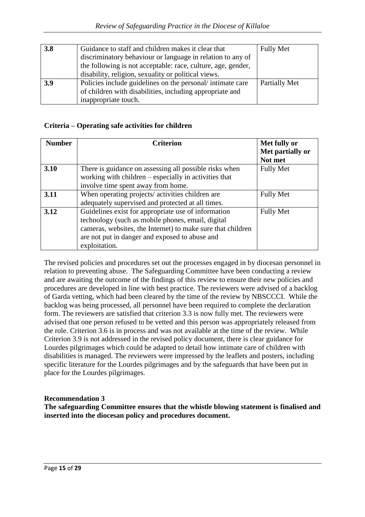| 3.8 | Guidance to staff and children makes it clear that           | <b>Fully Met</b> |
|-----|--------------------------------------------------------------|------------------|
|     | discriminatory behaviour or language in relation to any of   |                  |
|     | the following is not acceptable: race, culture, age, gender, |                  |
|     | disability, religion, sexuality or political views.          |                  |
| 3.9 | Policies include guidelines on the personal/intimate care    | Partially Met    |
|     | of children with disabilities, including appropriate and     |                  |
|     | inappropriate touch.                                         |                  |

# **Criteria – Operating safe activities for children**

| <b>Number</b> | <b>Criterion</b>                                            | Met fully or     |
|---------------|-------------------------------------------------------------|------------------|
|               |                                                             | Met partially or |
|               |                                                             | Not met          |
| 3.10          | There is guidance on assessing all possible risks when      | <b>Fully Met</b> |
|               | working with children $-$ especially in activities that     |                  |
|               | involve time spent away from home.                          |                  |
| 3.11          | When operating projects/activities children are             | <b>Fully Met</b> |
|               | adequately supervised and protected at all times.           |                  |
| 3.12          | Guidelines exist for appropriate use of information         | <b>Fully Met</b> |
|               | technology (such as mobile phones, email, digital           |                  |
|               | cameras, websites, the Internet) to make sure that children |                  |
|               | are not put in danger and exposed to abuse and              |                  |
|               | exploitation.                                               |                  |

The revised policies and procedures set out the processes engaged in by diocesan personnel in relation to preventing abuse. The Safeguarding Committee have been conducting a review and are awaiting the outcome of the findings of this review to ensure their new policies and procedures are developed in line with best practice. The reviewers were advised of a backlog of Garda vetting, which had been cleared by the time of the review by NBSCCCI. While the backlog was being processed, all personnel have been required to complete the declaration form. The reviewers are satisfied that criterion 3.3 is now fully met. The reviewers were advised that one person refused to be vetted and this person was appropriately released from the role. Criterion 3.6 is in process and was not available at the time of the review. While Criterion 3.9 is not addressed in the revised policy document, there is clear guidance for Lourdes pilgrimages which could be adapted to detail how intimate care of children with disabilities is managed. The reviewers were impressed by the leaflets and posters, including specific literature for the Lourdes pilgrimages and by the safeguards that have been put in place for the Lourdes pilgrimages.

**Recommendation 3**

**The safeguarding Committee ensures that the whistle blowing statement is finalised and inserted into the diocesan policy and procedures document.**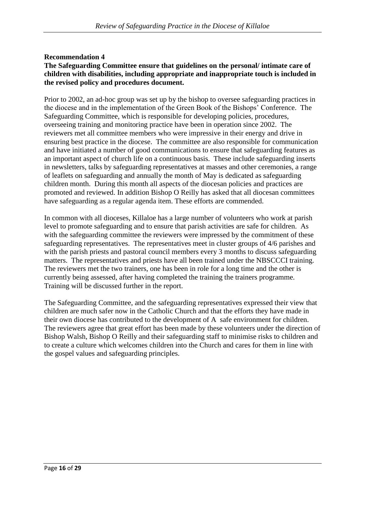#### **Recommendation 4 The Safeguarding Committee ensure that guidelines on the personal/ intimate care of children with disabilities, including appropriate and inappropriate touch is included in the revised policy and procedures document.**

Prior to 2002, an ad-hoc group was set up by the bishop to oversee safeguarding practices in the diocese and in the implementation of the Green Book of the Bishops' Conference. The Safeguarding Committee, which is responsible for developing policies, procedures, overseeing training and monitoring practice have been in operation since 2002. The reviewers met all committee members who were impressive in their energy and drive in ensuring best practice in the diocese. The committee are also responsible for communication and have initiated a number of good communications to ensure that safeguarding features as an important aspect of church life on a continuous basis. These include safeguarding inserts in newsletters, talks by safeguarding representatives at masses and other ceremonies, a range of leaflets on safeguarding and annually the month of May is dedicated as safeguarding children month. During this month all aspects of the diocesan policies and practices are promoted and reviewed. In addition Bishop O Reilly has asked that all diocesan committees have safeguarding as a regular agenda item. These efforts are commended.

In common with all dioceses, Killaloe has a large number of volunteers who work at parish level to promote safeguarding and to ensure that parish activities are safe for children. As with the safeguarding committee the reviewers were impressed by the commitment of these safeguarding representatives. The representatives meet in cluster groups of 4/6 parishes and with the parish priests and pastoral council members every 3 months to discuss safeguarding matters. The representatives and priests have all been trained under the NBSCCCI training. The reviewers met the two trainers, one has been in role for a long time and the other is currently being assessed, after having completed the training the trainers programme. Training will be discussed further in the report.

The Safeguarding Committee, and the safeguarding representatives expressed their view that children are much safer now in the Catholic Church and that the efforts they have made in their own diocese has contributed to the development of A safe environment for children. The reviewers agree that great effort has been made by these volunteers under the direction of Bishop Walsh, Bishop O Reilly and their safeguarding staff to minimise risks to children and to create a culture which welcomes children into the Church and cares for them in line with the gospel values and safeguarding principles.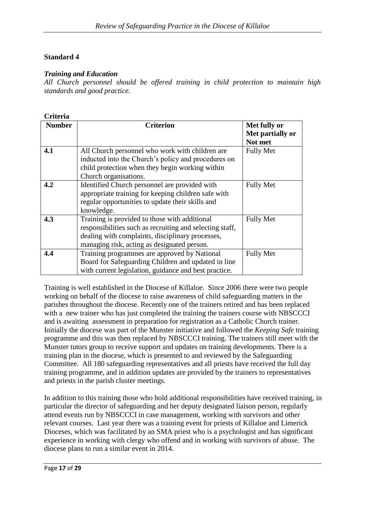## *Training and Education*

*All Church personnel should be offered training in child protection to maintain high standards and good practice.*

| <b>Criteria</b> |                                                          |                  |
|-----------------|----------------------------------------------------------|------------------|
| <b>Number</b>   | <b>Criterion</b>                                         | Met fully or     |
|                 |                                                          | Met partially or |
|                 |                                                          | Not met          |
| 4.1             | All Church personnel who work with children are          | <b>Fully Met</b> |
|                 | inducted into the Church's policy and procedures on      |                  |
|                 | child protection when they begin working within          |                  |
|                 | Church organisations.                                    |                  |
| 4.2             | Identified Church personnel are provided with            | <b>Fully Met</b> |
|                 | appropriate training for keeping children safe with      |                  |
|                 | regular opportunities to update their skills and         |                  |
|                 | knowledge.                                               |                  |
| 4.3             | Training is provided to those with additional            | <b>Fully Met</b> |
|                 | responsibilities such as recruiting and selecting staff, |                  |
|                 | dealing with complaints, disciplinary processes,         |                  |
|                 | managing risk, acting as designated person.              |                  |
| 4.4             | Training programmes are approved by National             | <b>Fully Met</b> |
|                 | Board for Safeguarding Children and updated in line      |                  |
|                 | with current legislation, guidance and best practice.    |                  |

Training is well established in the Diocese of Killaloe. Since 2006 there were two people working on behalf of the diocese to raise awareness of child safeguarding matters in the parishes throughout the diocese. Recently one of the trainers retired and has been replaced with a new trainer who has just completed the training the trainers course with NBSCCCI and is awaiting assessment in preparation for registration as a Catholic Church trainer. Initially the diocese was part of the Munster initiative and followed the *Keeping Safe* training programme and this was then replaced by NBSCCCI training. The trainers still meet with the Munster tutors group to receive support and updates on training developments. There is a training plan in the diocese, which is presented to and reviewed by the Safeguarding Committee. All 180 safeguarding representatives and all priests have received the full day training programme, and in addition updates are provided by the trainers to representatives and priests in the parish cluster meetings.

In addition to this training those who hold additional responsibilities have received training, in particular the director of safeguarding and her deputy designated liaison person, regularly attend events run by NBSCCCI in case management, working with survivors and other relevant courses. Last year there was a training event for priests of Killaloe and Limerick Dioceses, which was facilitated by an SMA priest who is a psychologist and has significant experience in working with clergy who offend and in working with survivors of abuse. The diocese plans to run a similar event in 2014.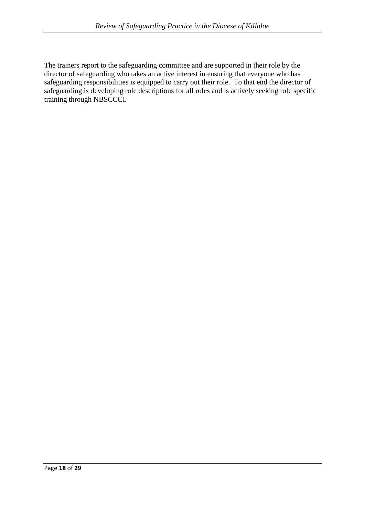The trainers report to the safeguarding committee and are supported in their role by the director of safeguarding who takes an active interest in ensuring that everyone who has safeguarding responsibilities is equipped to carry out their role. To that end the director of safeguarding is developing role descriptions for all roles and is actively seeking role specific training through NBSCCCI.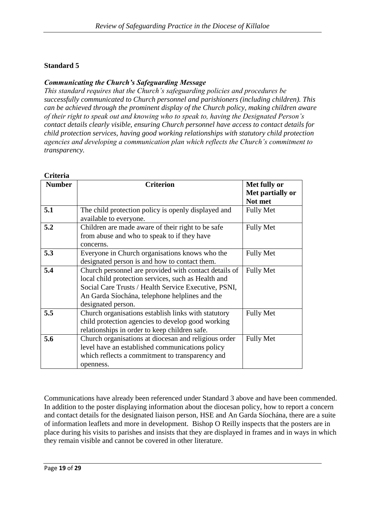# *Communicating the Church's Safeguarding Message*

*This standard requires that the Church's safeguarding policies and procedures be successfully communicated to Church personnel and parishioners (including children). This can be achieved through the prominent display of the Church policy, making children aware of their right to speak out and knowing who to speak to, having the Designated Person's contact details clearly visible, ensuring Church personnel have access to contact details for child protection services, having good working relationships with statutory child protection agencies and developing a communication plan which reflects the Church's commitment to transparency.*

| Criteria      |                                                                                                                                                                                                                                              |                                             |
|---------------|----------------------------------------------------------------------------------------------------------------------------------------------------------------------------------------------------------------------------------------------|---------------------------------------------|
| <b>Number</b> | <b>Criterion</b>                                                                                                                                                                                                                             | Met fully or<br>Met partially or<br>Not met |
| 5.1           | The child protection policy is openly displayed and<br>available to everyone.                                                                                                                                                                | <b>Fully Met</b>                            |
| 5.2           | Children are made aware of their right to be safe<br>from abuse and who to speak to if they have<br>concerns.                                                                                                                                | <b>Fully Met</b>                            |
| 5.3           | Everyone in Church organisations knows who the<br>designated person is and how to contact them.                                                                                                                                              | <b>Fully Met</b>                            |
| 5.4           | Church personnel are provided with contact details of<br>local child protection services, such as Health and<br>Social Care Trusts / Health Service Executive, PSNI,<br>An Garda Síochána, telephone helplines and the<br>designated person. | <b>Fully Met</b>                            |
| 5.5           | Church organisations establish links with statutory<br>child protection agencies to develop good working<br>relationships in order to keep children safe.                                                                                    | <b>Fully Met</b>                            |
| 5.6           | Church organisations at diocesan and religious order<br>level have an established communications policy<br>which reflects a commitment to transparency and<br>openness.                                                                      | <b>Fully Met</b>                            |

Communications have already been referenced under Standard 3 above and have been commended. In addition to the poster displaying information about the diocesan policy, how to report a concern and contact details for the designated liaison person, HSE and An Garda Síochána, there are a suite of information leaflets and more in development. Bishop O Reilly inspects that the posters are in place during his visits to parishes and insists that they are displayed in frames and in ways in which they remain visible and cannot be covered in other literature.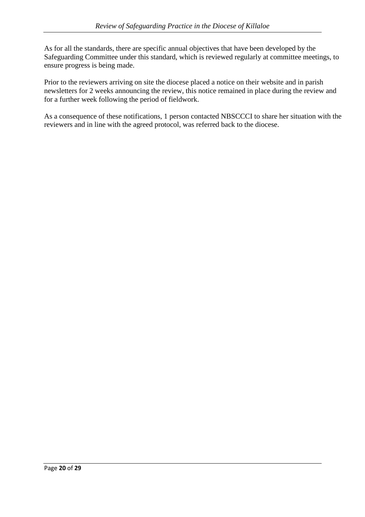As for all the standards, there are specific annual objectives that have been developed by the Safeguarding Committee under this standard, which is reviewed regularly at committee meetings, to ensure progress is being made.

Prior to the reviewers arriving on site the diocese placed a notice on their website and in parish newsletters for 2 weeks announcing the review, this notice remained in place during the review and for a further week following the period of fieldwork.

As a consequence of these notifications, 1 person contacted NBSCCCI to share her situation with the reviewers and in line with the agreed protocol, was referred back to the diocese.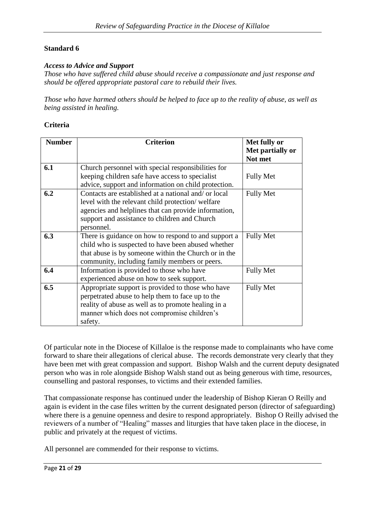#### *Access to Advice and Support*

*Those who have suffered child abuse should receive a compassionate and just response and should be offered appropriate pastoral care to rebuild their lives.*

*Those who have harmed others should be helped to face up to the reality of abuse, as well as being assisted in healing.*

## **Criteria**

| <b>Number</b> | <b>Criterion</b>                                     | Met fully or     |
|---------------|------------------------------------------------------|------------------|
|               |                                                      | Met partially or |
|               |                                                      | Not met          |
| 6.1           | Church personnel with special responsibilities for   |                  |
|               | keeping children safe have access to specialist      | <b>Fully Met</b> |
|               | advice, support and information on child protection. |                  |
| 6.2           | Contacts are established at a national and/ or local | <b>Fully Met</b> |
|               | level with the relevant child protection/welfare     |                  |
|               | agencies and helplines that can provide information, |                  |
|               | support and assistance to children and Church        |                  |
|               | personnel.                                           |                  |
| 6.3           | There is guidance on how to respond to and support a | <b>Fully Met</b> |
|               | child who is suspected to have been abused whether   |                  |
|               | that abuse is by someone within the Church or in the |                  |
|               | community, including family members or peers.        |                  |
| 6.4           | Information is provided to those who have            | <b>Fully Met</b> |
|               | experienced abuse on how to seek support.            |                  |
| 6.5           | Appropriate support is provided to those who have    | <b>Fully Met</b> |
|               | perpetrated abuse to help them to face up to the     |                  |
|               | reality of abuse as well as to promote healing in a  |                  |
|               | manner which does not compromise children's          |                  |
|               | safety.                                              |                  |

Of particular note in the Diocese of Killaloe is the response made to complainants who have come forward to share their allegations of clerical abuse. The records demonstrate very clearly that they have been met with great compassion and support. Bishop Walsh and the current deputy designated person who was in role alongside Bishop Walsh stand out as being generous with time, resources, counselling and pastoral responses, to victims and their extended families.

That compassionate response has continued under the leadership of Bishop Kieran O Reilly and again is evident in the case files written by the current designated person (director of safeguarding) where there is a genuine openness and desire to respond appropriately. Bishop O Reilly advised the reviewers of a number of "Healing" masses and liturgies that have taken place in the diocese, in public and privately at the request of victims.

All personnel are commended for their response to victims.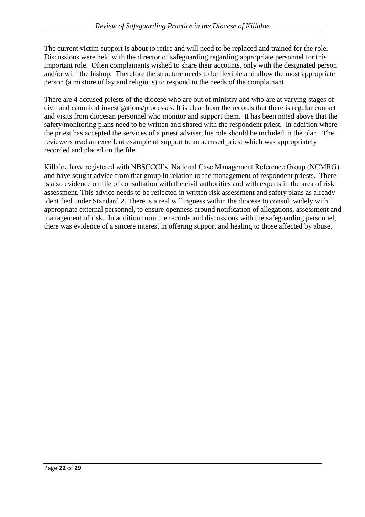The current victim support is about to retire and will need to be replaced and trained for the role. Discussions were held with the director of safeguarding regarding appropriate personnel for this important role. Often complainants wished to share their accounts, only with the designated person and/or with the bishop. Therefore the structure needs to be flexible and allow the most appropriate person (a mixture of lay and religious) to respond to the needs of the complainant.

There are 4 accused priests of the diocese who are out of ministry and who are at varying stages of civil and canonical investigations/processes. It is clear from the records that there is regular contact and visits from diocesan personnel who monitor and support them. It has been noted above that the safety/monitoring plans need to be written and shared with the respondent priest. In addition where the priest has accepted the services of a priest adviser, his role should be included in the plan. The reviewers read an excellent example of support to an accused priest which was appropriately recorded and placed on the file.

Killaloe have registered with NBSCCCI's National Case Management Reference Group (NCMRG) and have sought advice from that group in relation to the management of respondent priests. There is also evidence on file of consultation with the civil authorities and with experts in the area of risk assessment. This advice needs to be reflected in written risk assessment and safety plans as already identified under Standard 2. There is a real willingness within the diocese to consult widely with appropriate external personnel, to ensure openness around notification of allegations, assessment and management of risk. In addition from the records and discussions with the safeguarding personnel, there was evidence of a sincere interest in offering support and healing to those affected by abuse.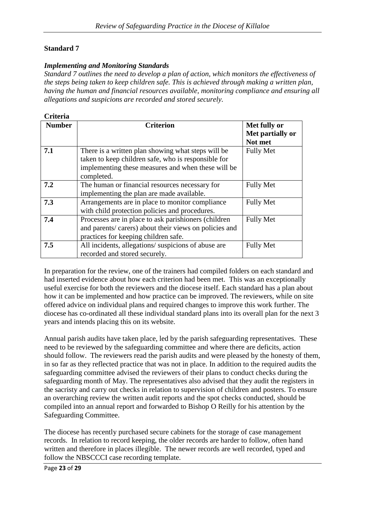## *Implementing and Monitoring Standards*

*Standard 7 outlines the need to develop a plan of action, which monitors the effectiveness of the steps being taken to keep children safe. This is achieved through making a written plan, having the human and financial resources available, monitoring compliance and ensuring all allegations and suspicions are recorded and stored securely.*

| Criteria      |                                                                                                                                                                               |                                             |
|---------------|-------------------------------------------------------------------------------------------------------------------------------------------------------------------------------|---------------------------------------------|
| <b>Number</b> | <b>Criterion</b>                                                                                                                                                              | Met fully or<br>Met partially or<br>Not met |
| 7.1           | There is a written plan showing what steps will be<br>taken to keep children safe, who is responsible for<br>implementing these measures and when these will be<br>completed. | <b>Fully Met</b>                            |
| 7.2           | The human or financial resources necessary for<br>implementing the plan are made available.                                                                                   | <b>Fully Met</b>                            |
| 7.3           | Arrangements are in place to monitor compliance<br>with child protection policies and procedures.                                                                             | <b>Fully Met</b>                            |
| 7.4           | Processes are in place to ask parishioners (children<br>and parents/ carers) about their views on policies and<br>practices for keeping children safe.                        | <b>Fully Met</b>                            |
| 7.5           | All incidents, allegations/suspicions of abuse are<br>recorded and stored securely.                                                                                           | <b>Fully Met</b>                            |

In preparation for the review, one of the trainers had compiled folders on each standard and had inserted evidence about how each criterion had been met. This was an exceptionally useful exercise for both the reviewers and the diocese itself. Each standard has a plan about how it can be implemented and how practice can be improved. The reviewers, while on site offered advice on individual plans and required changes to improve this work further. The diocese has co-ordinated all these individual standard plans into its overall plan for the next 3 years and intends placing this on its website.

Annual parish audits have taken place, led by the parish safeguarding representatives. These need to be reviewed by the safeguarding committee and where there are deficits, action should follow. The reviewers read the parish audits and were pleased by the honesty of them, in so far as they reflected practice that was not in place. In addition to the required audits the safeguarding committee advised the reviewers of their plans to conduct checks during the safeguarding month of May. The representatives also advised that they audit the registers in the sacristy and carry out checks in relation to supervision of children and posters. To ensure an overarching review the written audit reports and the spot checks conducted, should be compiled into an annual report and forwarded to Bishop O Reilly for his attention by the Safeguarding Committee.

The diocese has recently purchased secure cabinets for the storage of case management records. In relation to record keeping, the older records are harder to follow, often hand written and therefore in places illegible. The newer records are well recorded, typed and follow the NBSCCCI case recording template.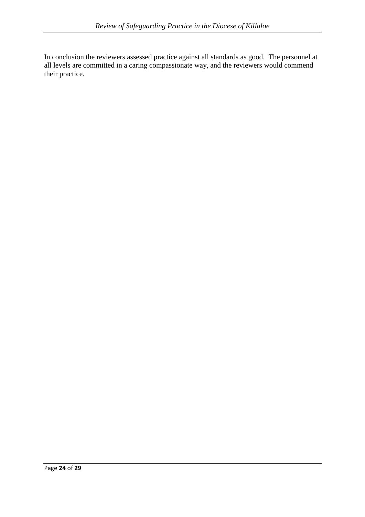In conclusion the reviewers assessed practice against all standards as good. The personnel at all levels are committed in a caring compassionate way, and the reviewers would commend their practice.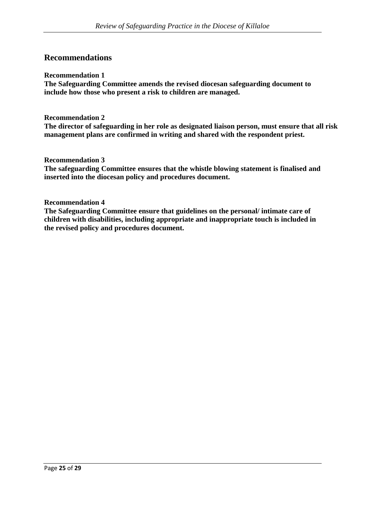# **Recommendations**

#### **Recommendation 1**

**The Safeguarding Committee amends the revised diocesan safeguarding document to include how those who present a risk to children are managed.**

#### **Recommendation 2**

**The director of safeguarding in her role as designated liaison person, must ensure that all risk management plans are confirmed in writing and shared with the respondent priest.** 

**Recommendation 3**

**The safeguarding Committee ensures that the whistle blowing statement is finalised and inserted into the diocesan policy and procedures document.**

#### **Recommendation 4**

**The Safeguarding Committee ensure that guidelines on the personal/ intimate care of children with disabilities, including appropriate and inappropriate touch is included in the revised policy and procedures document.**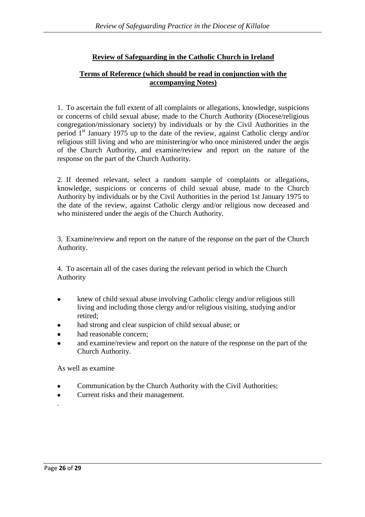# **Review of Safeguarding in the Catholic Church in Ireland**

# **Terms of Reference (which should be read in conjunction with the accompanying Notes)**

1. To ascertain the full extent of all complaints or allegations, knowledge, suspicions or concerns of child sexual abuse, made to the Church Authority (Diocese/religious congregation/missionary society) by individuals or by the Civil Authorities in the period  $1<sup>st</sup>$  January 1975 up to the date of the review, against Catholic clergy and/or religious still living and who are ministering/or who once ministered under the aegis of the Church Authority, and examine/review and report on the nature of the response on the part of the Church Authority.

2. If deemed relevant, select a random sample of complaints or allegations, knowledge, suspicions or concerns of child sexual abuse, made to the Church Authority by individuals or by the Civil Authorities in the period 1st January 1975 to the date of the review, against Catholic clergy and/or religious now deceased and who ministered under the aegis of the Church Authority.

3. Examine/review and report on the nature of the response on the part of the Church Authority.

4. To ascertain all of the cases during the relevant period in which the Church Authority

- knew of child sexual abuse involving Catholic clergy and/or religious still  $\bullet$  living and including those clergy and/or religious visiting, studying and/or retired;
- had strong and clear suspicion of child sexual abuse; or
- had reasonable concern;
- and examine/review and report on the nature of the response on the part of the Church Authority.

As well as examine

- Communication by the Church Authority with the Civil Authorities;
- Current risks and their management.  $\bullet$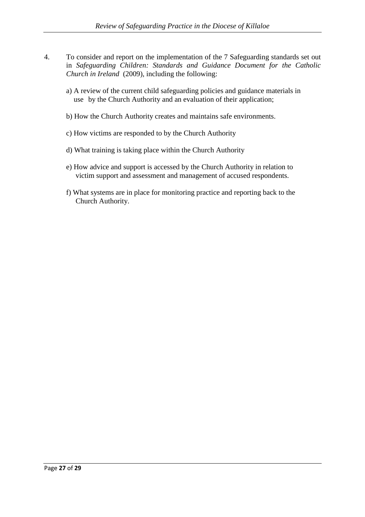- 4. To consider and report on the implementation of the 7 Safeguarding standards set out in *Safeguarding Children: Standards and Guidance Document for the Catholic Church in Ireland* (2009), including the following:
	- a) A review of the current child safeguarding policies and guidance materials in use by the Church Authority and an evaluation of their application;
	- b) How the Church Authority creates and maintains safe environments.
	- c) How victims are responded to by the Church Authority
	- d) What training is taking place within the Church Authority
	- e) How advice and support is accessed by the Church Authority in relation to victim support and assessment and management of accused respondents.
	- f) What systems are in place for monitoring practice and reporting back to the Church Authority.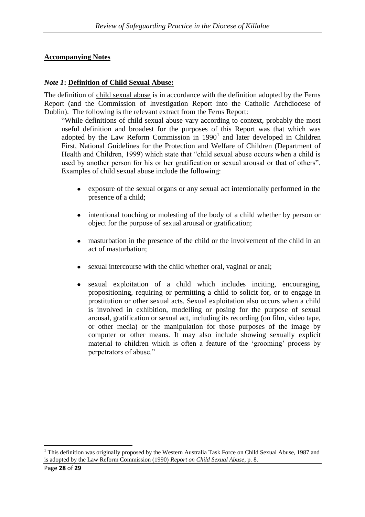#### **Accompanying Notes**

#### *Note 1***: Definition of Child Sexual Abuse:**

The definition of child sexual abuse is in accordance with the definition adopted by the Ferns Report (and the Commission of Investigation Report into the Catholic Archdiocese of Dublin). The following is the relevant extract from the Ferns Report:

"While definitions of child sexual abuse vary according to context, probably the most useful definition and broadest for the purposes of this Report was that which was adopted by the Law Reform Commission in  $1990<sup>1</sup>$  and later developed in Children First, National Guidelines for the Protection and Welfare of Children (Department of Health and Children, 1999) which state that "child sexual abuse occurs when a child is used by another person for his or her gratification or sexual arousal or that of others". Examples of child sexual abuse include the following:

- exposure of the sexual organs or any sexual act intentionally performed in the presence of a child;
- intentional touching or molesting of the body of a child whether by person or object for the purpose of sexual arousal or gratification;
- masturbation in the presence of the child or the involvement of the child in an act of masturbation;
- sexual intercourse with the child whether oral, vaginal or anal;
- sexual exploitation of a child which includes inciting, encouraging, propositioning, requiring or permitting a child to solicit for, or to engage in prostitution or other sexual acts. Sexual exploitation also occurs when a child is involved in exhibition, modelling or posing for the purpose of sexual arousal, gratification or sexual act, including its recording (on film, video tape, or other media) or the manipulation for those purposes of the image by computer or other means. It may also include showing sexually explicit material to children which is often a feature of the 'grooming' process by perpetrators of abuse."

<u>.</u>

<sup>&</sup>lt;sup>1</sup> This definition was originally proposed by the Western Australia Task Force on Child Sexual Abuse, 1987 and is adopted by the Law Reform Commission (1990) *Report on Child Sexual Abuse*, p. 8.